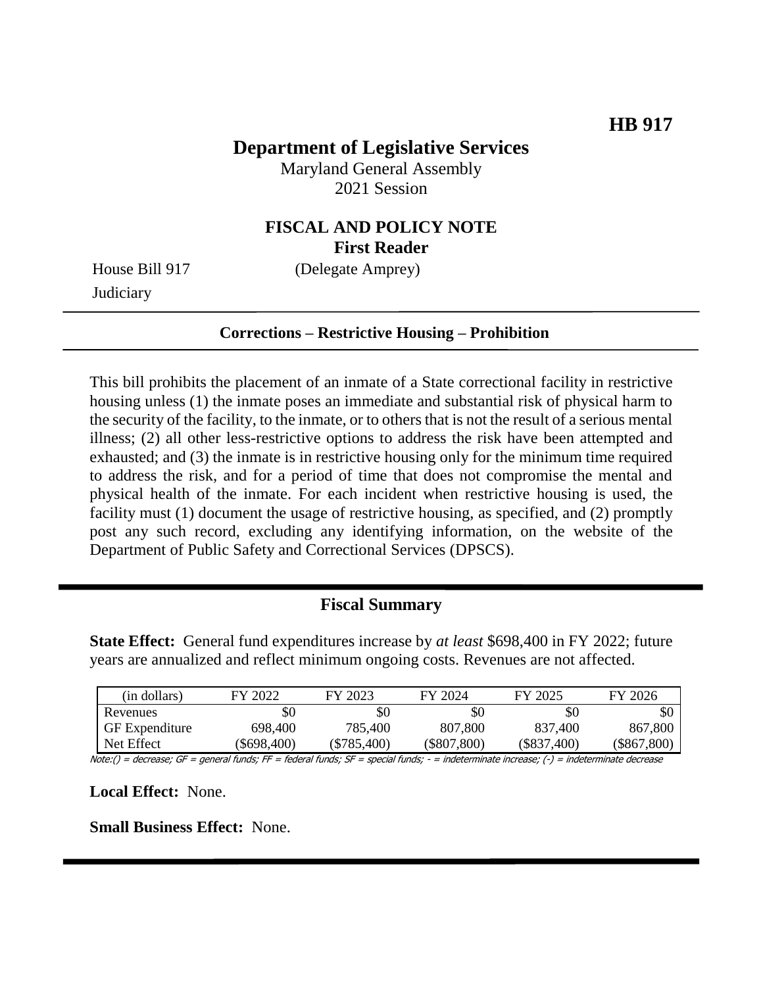# **Department of Legislative Services**

Maryland General Assembly 2021 Session

## **FISCAL AND POLICY NOTE First Reader**

**Judiciary** 

House Bill 917 (Delegate Amprey)

#### **Corrections – Restrictive Housing – Prohibition**

This bill prohibits the placement of an inmate of a State correctional facility in restrictive housing unless (1) the inmate poses an immediate and substantial risk of physical harm to the security of the facility, to the inmate, or to others that is not the result of a serious mental illness; (2) all other less-restrictive options to address the risk have been attempted and exhausted; and (3) the inmate is in restrictive housing only for the minimum time required to address the risk, and for a period of time that does not compromise the mental and physical health of the inmate. For each incident when restrictive housing is used, the facility must (1) document the usage of restrictive housing, as specified, and (2) promptly post any such record, excluding any identifying information, on the website of the Department of Public Safety and Correctional Services (DPSCS).

### **Fiscal Summary**

**State Effect:** General fund expenditures increase by *at least* \$698,400 in FY 2022; future years are annualized and reflect minimum ongoing costs. Revenues are not affected.

| (in dollars)          | FY 2022     | FY 2023     | FY 2024       | FY 2025       | FY 2026     |
|-----------------------|-------------|-------------|---------------|---------------|-------------|
| Revenues              | \$0         | \$0         | \$0           | \$0           | SC          |
| <b>GF</b> Expenditure | 698,400     | 785,400     | 807,800       | 837,400       | 867,800     |
| Net Effect            | (\$698,400) | (\$785,400) | $(\$807,800)$ | $(\$837,400)$ | (\$867,800) |

Note:() = decrease; GF = general funds; FF = federal funds; SF = special funds; - = indeterminate increase; (-) = indeterminate decrease

**Local Effect:** None.

**Small Business Effect:** None.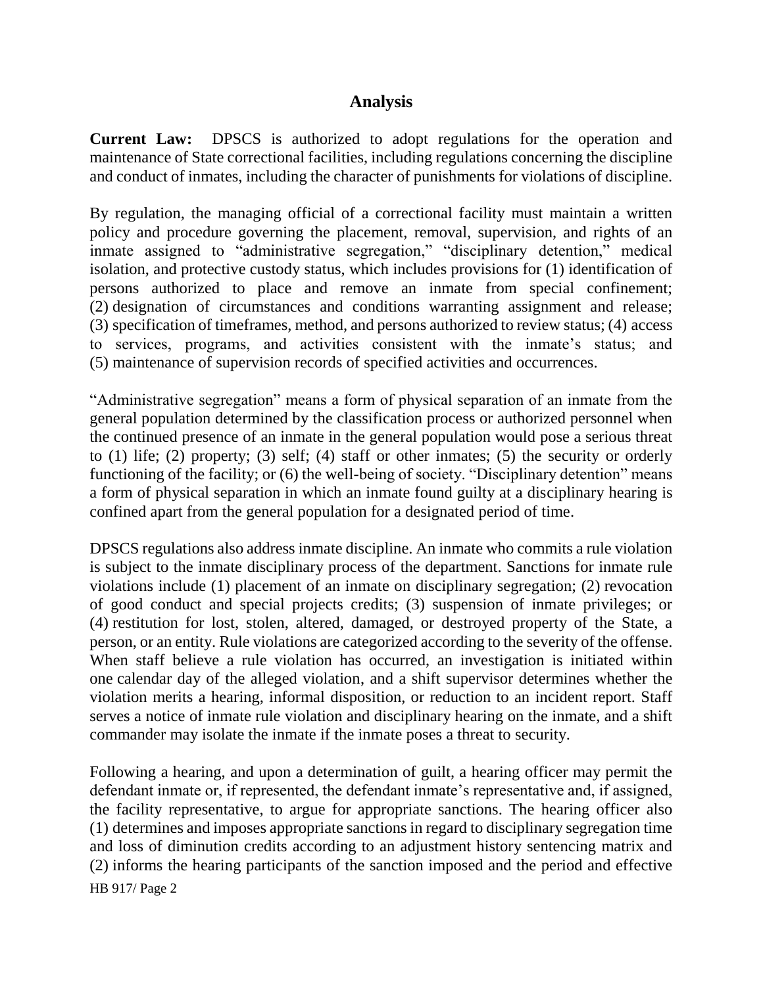### **Analysis**

**Current Law:** DPSCS is authorized to adopt regulations for the operation and maintenance of State correctional facilities, including regulations concerning the discipline and conduct of inmates, including the character of punishments for violations of discipline.

By regulation, the managing official of a correctional facility must maintain a written policy and procedure governing the placement, removal, supervision, and rights of an inmate assigned to "administrative segregation," "disciplinary detention," medical isolation, and protective custody status, which includes provisions for (1) identification of persons authorized to place and remove an inmate from special confinement; (2) designation of circumstances and conditions warranting assignment and release; (3) specification of timeframes, method, and persons authorized to review status; (4) access to services, programs, and activities consistent with the inmate's status; and (5) maintenance of supervision records of specified activities and occurrences.

"Administrative segregation" means a form of physical separation of an inmate from the general population determined by the classification process or authorized personnel when the continued presence of an inmate in the general population would pose a serious threat to (1) life; (2) property; (3) self; (4) staff or other inmates; (5) the security or orderly functioning of the facility; or (6) the well-being of society. "Disciplinary detention" means a form of physical separation in which an inmate found guilty at a disciplinary hearing is confined apart from the general population for a designated period of time.

DPSCS regulations also address inmate discipline. An inmate who commits a rule violation is subject to the inmate disciplinary process of the department. Sanctions for inmate rule violations include (1) placement of an inmate on disciplinary segregation; (2) revocation of good conduct and special projects credits; (3) suspension of inmate privileges; or (4) restitution for lost, stolen, altered, damaged, or destroyed property of the State, a person, or an entity. Rule violations are categorized according to the severity of the offense. When staff believe a rule violation has occurred, an investigation is initiated within one calendar day of the alleged violation, and a shift supervisor determines whether the violation merits a hearing, informal disposition, or reduction to an incident report. Staff serves a notice of inmate rule violation and disciplinary hearing on the inmate, and a shift commander may isolate the inmate if the inmate poses a threat to security.

HB 917/ Page 2 Following a hearing, and upon a determination of guilt, a hearing officer may permit the defendant inmate or, if represented, the defendant inmate's representative and, if assigned, the facility representative, to argue for appropriate sanctions. The hearing officer also (1) determines and imposes appropriate sanctions in regard to disciplinary segregation time and loss of diminution credits according to an adjustment history sentencing matrix and (2) informs the hearing participants of the sanction imposed and the period and effective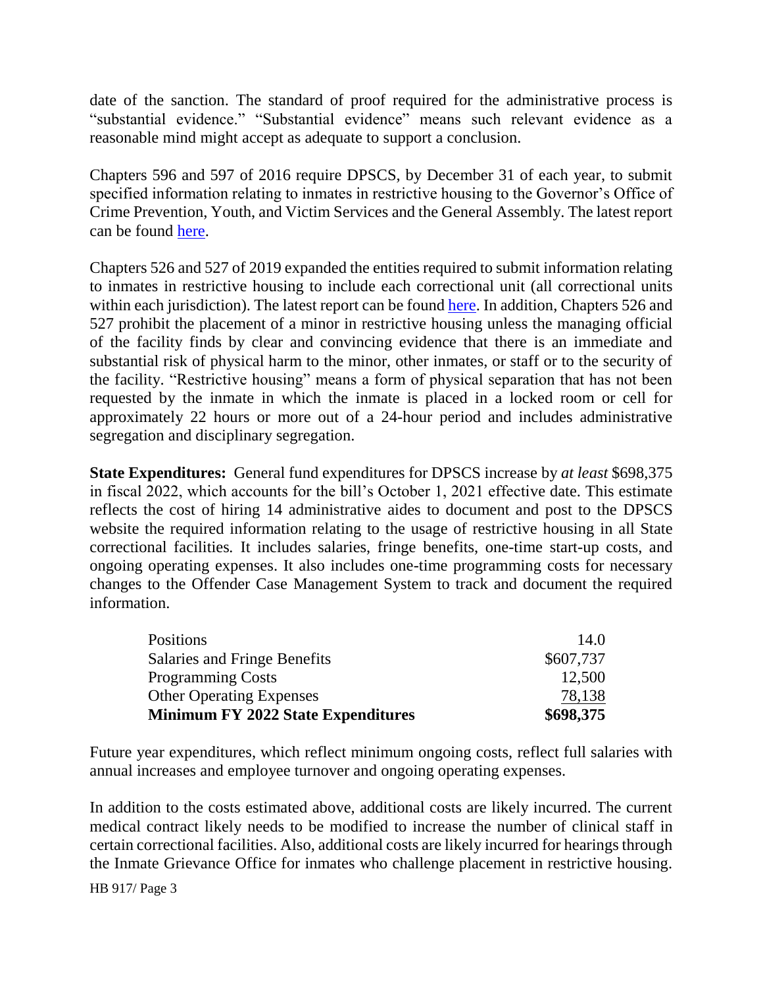date of the sanction. The standard of proof required for the administrative process is "substantial evidence." "Substantial evidence" means such relevant evidence as a reasonable mind might accept as adequate to support a conclusion.

Chapters 596 and 597 of 2016 require DPSCS, by December 31 of each year, to submit specified information relating to inmates in restrictive housing to the Governor's Office of Crime Prevention, Youth, and Victim Services and the General Assembly. The latest report can be found [here.](http://dlslibrary.state.md.us/publications/Exec/DPSCS/COR9-614(b)(1)_2019.pdf)

Chapters 526 and 527 of 2019 expanded the entities required to submit information relating to inmates in restrictive housing to include each correctional unit (all correctional units within each jurisdiction). The latest report can be found [here.](http://dlslibrary.state.md.us/publications/Exec/GOCPYVS/COR9-614(b)_2020.pdf) In addition, Chapters 526 and 527 prohibit the placement of a minor in restrictive housing unless the managing official of the facility finds by clear and convincing evidence that there is an immediate and substantial risk of physical harm to the minor, other inmates, or staff or to the security of the facility. "Restrictive housing" means a form of physical separation that has not been requested by the inmate in which the inmate is placed in a locked room or cell for approximately 22 hours or more out of a 24-hour period and includes administrative segregation and disciplinary segregation.

**State Expenditures:** General fund expenditures for DPSCS increase by *at least* \$698,375 in fiscal 2022, which accounts for the bill's October 1, 2021 effective date. This estimate reflects the cost of hiring 14 administrative aides to document and post to the DPSCS website the required information relating to the usage of restrictive housing in all State correctional facilities*.* It includes salaries, fringe benefits, one-time start-up costs, and ongoing operating expenses. It also includes one-time programming costs for necessary changes to the Offender Case Management System to track and document the required information.

| <b>Positions</b>                          | 14.0      |
|-------------------------------------------|-----------|
| Salaries and Fringe Benefits              | \$607,737 |
| <b>Programming Costs</b>                  | 12,500    |
| <b>Other Operating Expenses</b>           | 78,138    |
| <b>Minimum FY 2022 State Expenditures</b> | \$698,375 |

Future year expenditures, which reflect minimum ongoing costs, reflect full salaries with annual increases and employee turnover and ongoing operating expenses.

In addition to the costs estimated above, additional costs are likely incurred. The current medical contract likely needs to be modified to increase the number of clinical staff in certain correctional facilities. Also, additional costs are likely incurred for hearings through the Inmate Grievance Office for inmates who challenge placement in restrictive housing.

HB 917/ Page 3